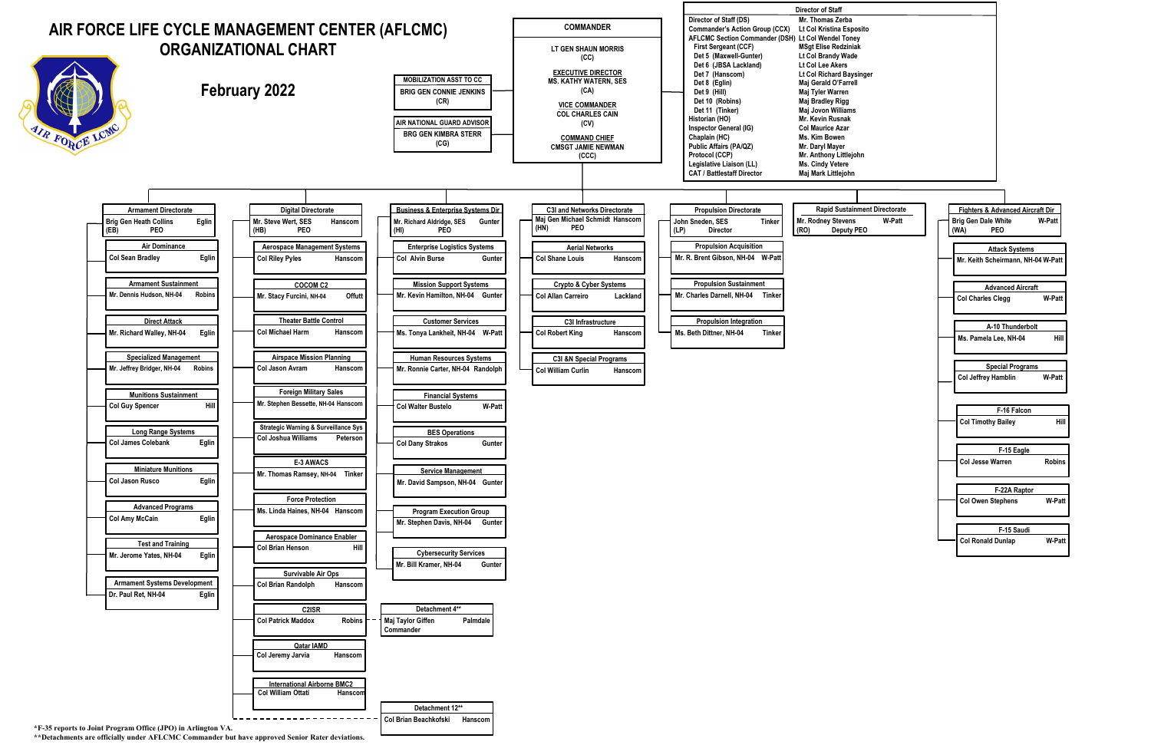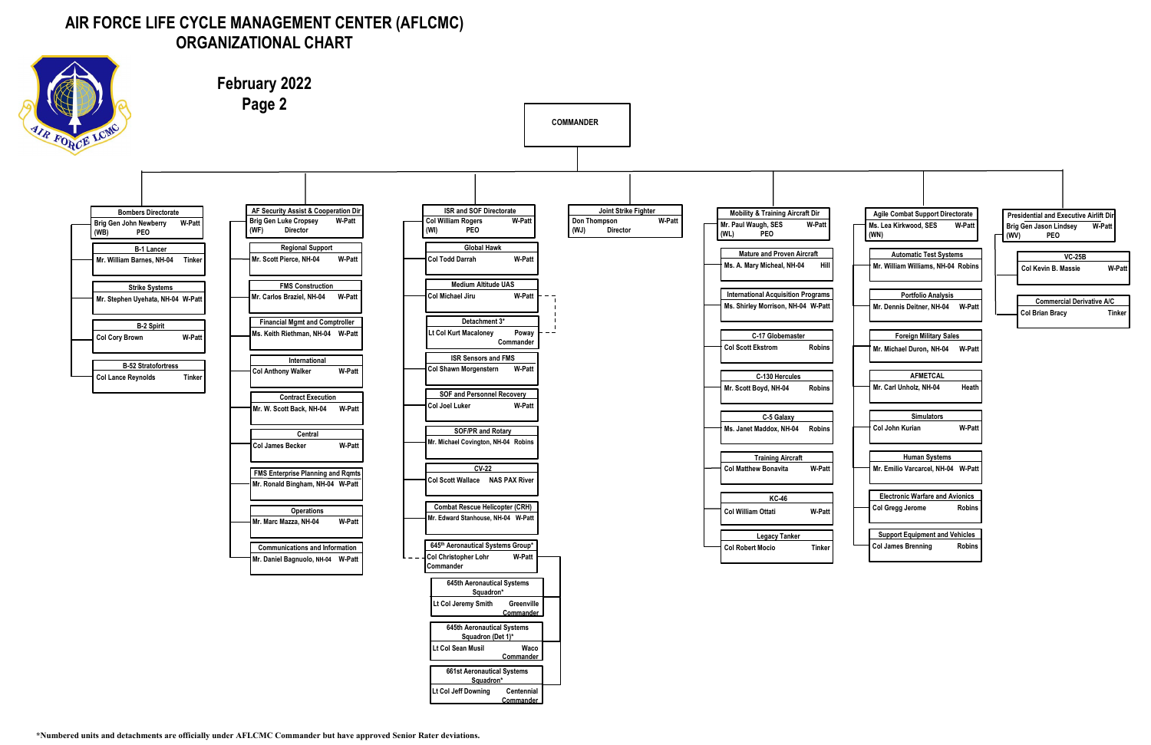## **AIR FORCE LIFE CYCLE MANAGEMENT CENTER (AFLCMC) ORGANIZATIONAL CHART**



**February 2022 Page 2 COMMANDER** ORCE **AF Security Assist & Cooperation Dir ISR and SOF Directorate Joint Strike Fighter Bombers Directorate Mobility & Training Aircraft Dir Brig Gen Luke Cropsey W-Patt Col William Rogers W-Patt Don Thompson W-Patt Brig Gen John Newberry W-Patt Mr. Paul Waugh, SES W-Patt (WI) PEO (WJ) Director(WF) Director (WB) PEO (WL) PEO Global Hawk Regional Support B-1 Lancer Mature and Proven Aircraft Col Todd Darrah W-Patt Mr. Scott Pierce, NH-04 W-Patt Mr. William Barnes, NH-04 Tinker Ms. A. Mary Micheal, NH-04 Hill Medium Altitude UAS FMS Construction Strike Systems International Acquisition Programs Mr. Carlos Braziel, NH-04 W-Patt Col Michael Jiru W-Patt Mr. Stephen Uyehata, NH-04 W-Patt Ms. Shirley Morrison, NH-04 W-Patt Detachment 3\* Financial Mgmt and Comptroller B-2 Spirit Lt Col Kurt Macaloney Poway Col James A. Becker W-Patt Ms. Keith Riethman, NH-04 C-17 Globemaster Col Cory Brown W-Patt Commander Col Scott Ekstrom Robins ISR Sensors and FMS International B-52 Stratofortress Col Shawn Morgenstern W-Patt Col Anthony Walker W-Patt C-130 Hercules Col Lance Reynolds Tinker Mr. Scott Boyd, NH-04 Robins SOF and Personnel Recovery Contract Execution Col Joel Luker W-Patt Mr. W. Scott Back, NH-04 W-Patt C-5 Galaxy Ms. Janet Maddox, NH-04 Robins SOF/PR and Rotary Central Mr. Michael Covington, NH-04 Robins Col James Becker W-Patt Training Aircraft CV-22 Col Matthew Bonavita W-Patt FMS Enterprise Planning and Rqmts Col Scott Wallace NAS PAX River Mr. Ronald Bingham, NH-04 W-Patt KC-46 Combat Rescue Helicopter (CRH) Operations Col William Ottati W-Patt Mr. Edward Stanhouse, NH-04 W-Patt Mr. Marc Mazza, NH-04 W-Patt Legacy Tanker 645th Aeronautical Systems Group\* Col Robert Mocio Tinker Communications and Information Col Christopher Lohr W-Patt Mr. Daniel Bagnuolo, NH-04 W-Patt Commander 645th Aeronautical Systems Squadron\* Lt Col Jeremy Smith Greenville Commander 645th Aeronautical Systems Squadron (Det 1)\* Lt Col Sean Musil Waco Commander 661st Aeronautical Systems Squadron\* Lt Col Jeff Downing Centennial Commander**